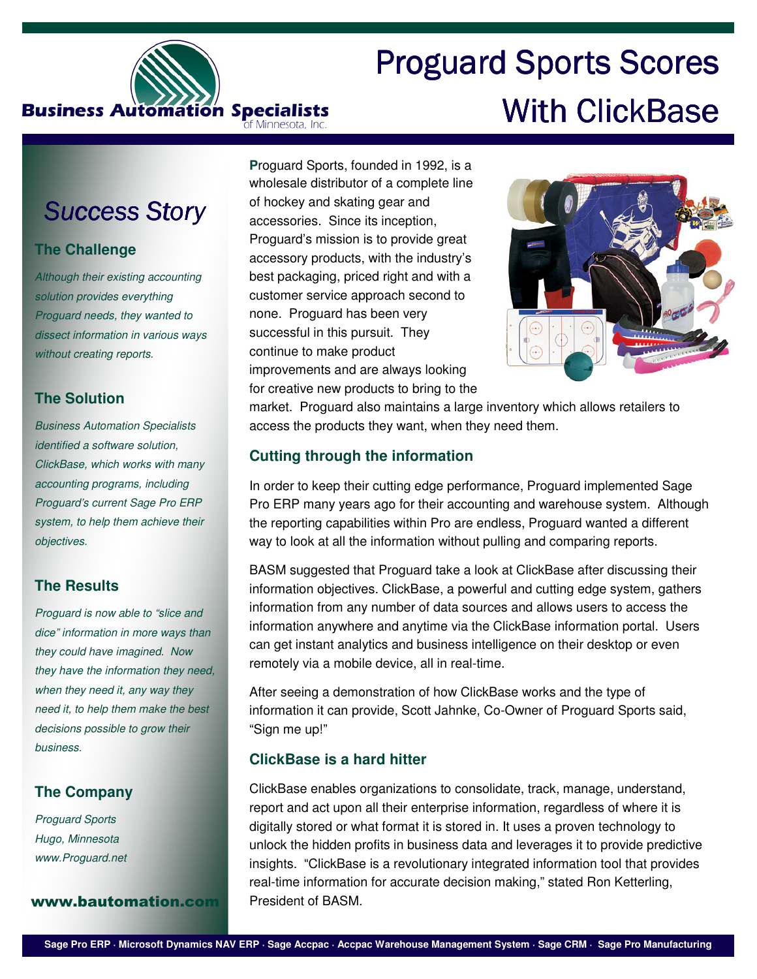

# **Proguard Sports Scores** With ClickBase

# **Success Story**

# **The Challenge**

Although their existing accounting solution provides everything Proguard needs, they wanted to dissect information in various ways without creating reports.

# **The Solution**

Business Automation Specialists identified a software solution, ClickBase, which works with many accounting programs, including Proguard's current Sage Pro ERP system, to help them achieve their objectives.

# **The Results**

Proguard is now able to "slice and dice" information in more ways than they could have imagined. Now they have the information they need, when they need it, any way they need it, to help them make the best decisions possible to grow their business.

# **The Company**

Proguard Sports Hugo, Minnesota www.Proguard.net

#### www.bautomation.com President of BASM.

**P**roguard Sports, founded in 1992, is a wholesale distributor of a complete line of hockey and skating gear and accessories. Since its inception, Proguard's mission is to provide great accessory products, with the industry's best packaging, priced right and with a customer service approach second to none. Proguard has been very successful in this pursuit. They continue to make product improvements and are always looking for creative new products to bring to the



market. Proguard also maintains a large inventory which allows retailers to access the products they want, when they need them.

# **Cutting through the information**

In order to keep their cutting edge performance, Proguard implemented Sage Pro ERP many years ago for their accounting and warehouse system. Although the reporting capabilities within Pro are endless, Proguard wanted a different way to look at all the information without pulling and comparing reports.

BASM suggested that Proguard take a look at ClickBase after discussing their information objectives. ClickBase, a powerful and cutting edge system, gathers information from any number of data sources and allows users to access the information anywhere and anytime via the ClickBase information portal. Users can get instant analytics and business intelligence on their desktop or even remotely via a mobile device, all in real-time.

After seeing a demonstration of how ClickBase works and the type of information it can provide, Scott Jahnke, Co-Owner of Proguard Sports said, "Sign me up!"

# **ClickBase is a hard hitter**

ClickBase enables organizations to consolidate, track, manage, understand, report and act upon all their enterprise information, regardless of where it is digitally stored or what format it is stored in. It uses a proven technology to unlock the hidden profits in business data and leverages it to provide predictive insights. "ClickBase is a revolutionary integrated information tool that provides real-time information for accurate decision making," stated Ron Ketterling,